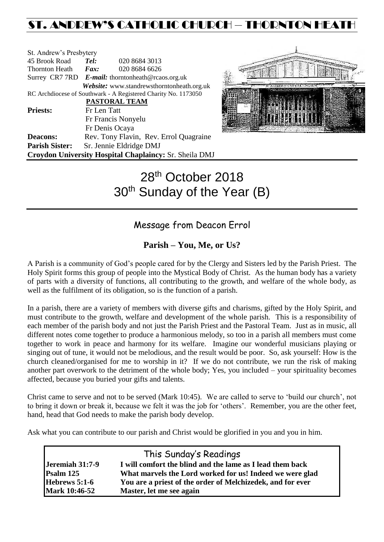# ST. ANDREW'S CATHOLIC CHURCH – THORNTON HEAT

| St. Andrew's Presbytery                                        |                                                   |                                            |  |  |  |
|----------------------------------------------------------------|---------------------------------------------------|--------------------------------------------|--|--|--|
| 45 Brook Road                                                  | Tel:                                              | 020 8684 3013                              |  |  |  |
| Thornton Heath                                                 | $\boldsymbol{F}$ <i>ax</i> :                      | 020 8684 6626                              |  |  |  |
|                                                                | Surrey CR7 7RD E-mail: thorntonheath@rcaos.org.uk |                                            |  |  |  |
|                                                                |                                                   | Website: www.standrewsthorntonheath.org.uk |  |  |  |
| RC Archdiocese of Southwark - A Registered Charity No. 1173050 |                                                   |                                            |  |  |  |
|                                                                |                                                   | <b>PASTORAL TEAM</b>                       |  |  |  |
| <b>Priests:</b>                                                | Fr Len Tatt                                       |                                            |  |  |  |
|                                                                |                                                   | Fr Francis Nonyelu                         |  |  |  |
|                                                                |                                                   | Fr Denis Ocaya                             |  |  |  |
| <b>Deacons:</b>                                                |                                                   | Rev. Tony Flavin, Rev. Errol Quagraine     |  |  |  |
| <b>Parish Sister:</b>                                          |                                                   | Sr. Jennie Eldridge DMJ                    |  |  |  |
| Croydon University Hospital Chaplaincy: Sr. Sheila DMJ         |                                                   |                                            |  |  |  |



# 28<sup>th</sup> October 2018 30<sup>th</sup> Sunday of the Year (B)

# Message from Deacon Errol

# **Parish – You, Me, or Us?**

A Parish is a community of God's people cared for by the Clergy and Sisters led by the Parish Priest. The Holy Spirit forms this group of people into the Mystical Body of Christ. As the human body has a variety of parts with a diversity of functions, all contributing to the growth, and welfare of the whole body, as well as the fulfilment of its obligation, so is the function of a parish.

In a parish, there are a variety of members with diverse gifts and charisms, gifted by the Holy Spirit, and must contribute to the growth, welfare and development of the whole parish. This is a responsibility of each member of the parish body and not just the Parish Priest and the Pastoral Team. Just as in music, all different notes come together to produce a harmonious melody, so too in a parish all members must come together to work in peace and harmony for its welfare. Imagine our wonderful musicians playing or singing out of tune, it would not be melodious, and the result would be poor. So, ask yourself: How is the church cleaned/organised for me to worship in it? If we do not contribute, we run the risk of making another part overwork to the detriment of the whole body; Yes, you included – your spirituality becomes affected, because you buried your gifts and talents.

Christ came to serve and not to be served (Mark 10:45). We are called to serve to 'build our church', not to bring it down or break it, because we felt it was the job for 'others'. Remember, you are the other feet, hand, head that God needs to make the parish body develop.

Ask what you can contribute to our parish and Christ would be glorified in you and you in him.

|                      | This Sunday's Readings                                     |
|----------------------|------------------------------------------------------------|
| Jeremiah 31:7-9      | I will comfort the blind and the lame as I lead them back  |
| Psalm 125            | What marvels the Lord worked for us! Indeed we were glad   |
| Hebrews 5:1-6        | You are a priest of the order of Melchizedek, and for ever |
| <b>Mark 10:46-52</b> | Master, let me see again                                   |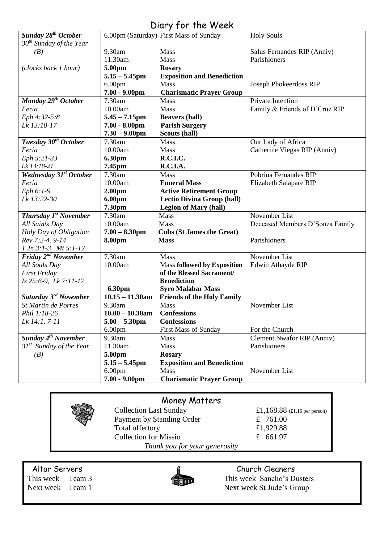| Sunday 28 <sup>th</sup> October   |                               | $U(1)$ y $101$ $110$ $100$<br>6.00pm (Saturday) First Mass of Sunday | <b>Holy Souls</b>               |
|-----------------------------------|-------------------------------|----------------------------------------------------------------------|---------------------------------|
| $30th$ Sunday of the Year         |                               |                                                                      |                                 |
| (B)                               | 9.30am                        | Mass                                                                 | Salus Fernandes RIP (Anniv)     |
|                                   | 11.30am                       | <b>Mass</b>                                                          | Parishioners                    |
| (clocks back 1 hour)              | 5.00pm                        | <b>Rosary</b>                                                        |                                 |
|                                   | $5.15 - 5.45$ pm              | <b>Exposition and Benediction</b>                                    |                                 |
|                                   | 6.00 <sub>pm</sub>            | Mass                                                                 | Joseph Phokeerdoss RIP          |
|                                   | $7.00 - 9.00$ pm              | <b>Charismatic Prayer Group</b>                                      |                                 |
| Monday 29 <sup>th</sup> October   | 7.30am                        | <b>Mass</b>                                                          | Private Intention               |
| Feria                             | 10.00am                       | Mass                                                                 | Family & Friends of D'Cruz RIP  |
| Eph 4:32-5:8                      | $5.45 - 7.15$ pm              | <b>Beavers (hall)</b>                                                |                                 |
| Lk 13:10-17                       | $7.00 - 8.00$ pm              | <b>Parish Surgery</b>                                                |                                 |
|                                   | $7.30 - 9.00$ pm              | Scouts (hall)                                                        |                                 |
| Tuesday 30 <sup>th</sup> October  | 7.30am                        | <b>Mass</b>                                                          | Our Lady of Africa              |
| Feria                             | 10.00am                       | Mass                                                                 | Catherine Viegas RIP (Anniv)    |
| Eph 5:21-33                       | 6.30pm                        | <b>R.C.I.C.</b>                                                      |                                 |
| Lk 13:18-21                       | 7.45pm                        | R.C.I.A.                                                             |                                 |
| <b>Wednesday 31st October</b>     | 7.30am                        | <b>Mass</b>                                                          | Pobrina Fernandes RIP           |
| Feria                             | 10.00am                       | <b>Funeral Mass</b>                                                  | Elizabeth Salapare RIP          |
| Eph 6:1-9                         | 2.00 <sub>pm</sub>            | <b>Active Retirement Group</b>                                       |                                 |
| Lk 13:22-30                       | 6.00pm                        | <b>Lectio Divina Group (hall)</b>                                    |                                 |
|                                   | 7.30pm                        | <b>Legion of Mary (hall)</b>                                         |                                 |
| Thursday 1 <sup>st</sup> November | 7.30am                        | Mass                                                                 | November List                   |
| All Saints Day                    | 10.00am                       | Mass                                                                 | Deceased Members D'Souza Family |
| Holy Day of Obligation            | $7.00 - 8.30$ pm              | <b>Cubs (St James the Great)</b>                                     |                                 |
| Rev 7:2-4. 9-14                   | <b>8.00pm</b>                 | <b>Mass</b>                                                          | Parishioners                    |
| $1 Jn 3:1-3$ , $Mt 5:1-12$        |                               |                                                                      |                                 |
| Friday 2 <sup>nd</sup> November   | 7.30am                        | Mass                                                                 | November List                   |
| All Souls Day                     | 10.00am                       | <b>Mass followed by Exposition</b>                                   | Edwin Athayde RIP               |
| <b>First Friday</b>               |                               | of the Blessed Sacrament/                                            |                                 |
| $Is 25:6-9$ , $Lk 7:11-17$        |                               | <b>Benediction</b>                                                   |                                 |
|                                   | <b>6.30pm</b>                 | <b>Syro Malabar Mass</b>                                             |                                 |
| Saturday 3 <sup>rd</sup> November | $\overline{10.15} - 11.30$ am | <b>Friends of the Holy Family</b>                                    |                                 |
| St Martin de Porres               | 9.30am                        | Mass                                                                 | November List                   |
| Phil 1:18-26                      | $10.00 - 10.30$ am            | <b>Confessions</b>                                                   |                                 |
| Lk 14:1.7-11                      | $5.00 - 5.30$ pm              | <b>Confessions</b>                                                   |                                 |
|                                   | 6.00 <sub>pm</sub>            | First Mass of Sunday                                                 | For the Church                  |
| Sunday $4^{th}$ November          | 9.30am                        | <b>Mass</b>                                                          | Clement Nwafor RIP (Anniv)      |
| $31^{st}$ Sunday of the Year      | 11.30am                       | <b>Mass</b>                                                          | Parishioners                    |
| (B)                               | 5.00pm                        | <b>Rosary</b>                                                        |                                 |
|                                   | $5.15 - 5.45$ pm              | <b>Exposition and Benediction</b>                                    |                                 |
|                                   | 6.00 <sub>pm</sub>            | Mass                                                                 | November List                   |
|                                   | $7.00 - 9.00$ pm              | <b>Charismatic Prayer Group</b>                                      |                                 |

# Diary for the Week

# Money Matters

Collection Last Sunday  $\begin{array}{r} \text{£}1,168.88 \text{ (£1.16 per person)} \\ \text{Payment by Standing Order} \end{array}$ Payment by Standing Order<br>
Total offertory<br>  $\frac{2}{2}$  Total offertory<br>
E1,929.88 Total offertory Collection for Missio  $\epsilon$  661.97 *Thank you for your generosity*

Altar Servers and the church Cleaners and the Church Cleaners



This week Team 3<br>
Next week Team 1<br>
This week Sancho's Dusters<br>
Next week St Jude's Group Next week St Jude's Group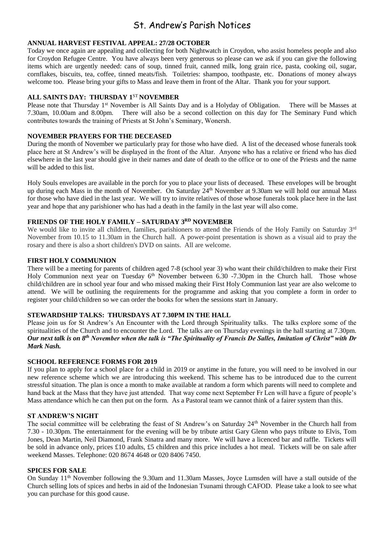# St. Andrew's Parish Notices

#### **ANNUAL HARVEST FESTIVAL APPEAL: 27/28 OCTOBER**

Today we once again are appealing and collecting for both Nightwatch in Croydon, who assist homeless people and also for Croydon Refugee Centre. You have always been very generous so please can we ask if you can give the following items which are urgently needed: cans of soup, tinned fruit, canned milk, long grain rice, pasta, cooking oil, sugar, cornflakes, biscuits, tea, coffee, tinned meats/fish. Toiletries: shampoo, toothpaste, etc. Donations of money always welcome too. Please bring your gifts to Mass and leave them in front of the Altar. Thank you for your support.

#### **ALL SAINTS DAY: THURSDAY 1**ST **NOVEMBER**

Please note that Thursday 1<sup>st</sup> November is All Saints Day and is a Holyday of Obligation. There will be Masses at 7.30am, 10.00am and 8.00pm. There will also be a second collection on this day for The Seminary Fund which There will also be a second collection on this day for The Seminary Fund which contributes towards the training of Priests at St John's Seminary, Wonersh.

#### **NOVEMBER PRAYERS FOR THE DECEASED**

During the month of November we particularly pray for those who have died. A list of the deceased whose funerals took place here at St Andrew's will be displayed in the front of the Altar. Anyone who has a relative or friend who has died elsewhere in the last year should give in their names and date of death to the office or to one of the Priests and the name will be added to this list.

Holy Souls envelopes are available in the porch for you to place your lists of deceased. These envelopes will be brought up during each Mass in the month of November. On Saturday 24<sup>th</sup> November at 9.30am we will hold our annual Mass for those who have died in the last year. We will try to invite relatives of those whose funerals took place here in the last year and hope that any parishioner who has had a death in the family in the last year will also come.

#### **FRIENDS OF THE HOLY FAMILY – SATURDAY 3RD NOVEMBER**

We would like to invite all children, families, parishioners to attend the Friends of the Holy Family on Saturday 3rd November from 10.15 to 11.30am in the Church hall. A power-point presentation is shown as a visual aid to pray the rosary and there is also a short children's DVD on saints. All are welcome.

#### **FIRST HOLY COMMUNION**

There will be a meeting for parents of children aged 7-8 (school year 3) who want their child/children to make their First Holy Communion next year on Tuesday 6<sup>th</sup> November between 6.30 -7.30pm in the Church hall. Those whose child/children are in school year four and who missed making their First Holy Communion last year are also welcome to attend. We will be outlining the requirements for the programme and asking that you complete a form in order to register your child/children so we can order the books for when the sessions start in January.

#### **STEWARDSHIP TALKS: THURSDAYS AT 7.30PM IN THE HALL**

Please join us for St Andrew's An Encounter with the Lord through Spirituality talks. The talks explore some of the spiritualities of the Church and to encounter the Lord. The talks are on Thursday evenings in the hall starting at 7.30pm. *Our next talk is on 8th November when the talk is "The Spirituality of Francis De Salles, Imitation of Christ" with Dr Mark Nash.*

#### **SCHOOL REFERENCE FORMS FOR 2019**

If you plan to apply for a school place for a child in 2019 or anytime in the future, you will need to be involved in our new reference scheme which we are introducing this weekend. This scheme has to be introduced due to the current stressful situation. The plan is once a month to make available at random a form which parents will need to complete and hand back at the Mass that they have just attended. That way come next September Fr Len will have a figure of people's Mass attendance which he can then put on the form. As a Pastoral team we cannot think of a fairer system than this.

#### **ST ANDREW'S NIGHT**

The social committee will be celebrating the feast of St Andrew's on Saturday 24th November in the Church hall from 7.30 - 10.30pm. The entertainment for the evening will be by tribute artist Gary Glenn who pays tribute to Elvis, Tom Jones, Dean Martin, Neil Diamond, Frank Sinatra and many more. We will have a licenced bar and raffle. Tickets will be sold in advance only, prices £10 adults, £5 children and this price includes a hot meal. Tickets will be on sale after weekend Masses. Telephone: 020 8674 4648 or 020 8406 7450.

#### **SPICES FOR SALE**

On Sunday 11th November following the 9.30am and 11.30am Masses, Joyce Lumsden will have a stall outside of the Church selling lots of spices and herbs in aid of the Indonesian Tsunami through CAFOD. Please take a look to see what you can purchase for this good cause.